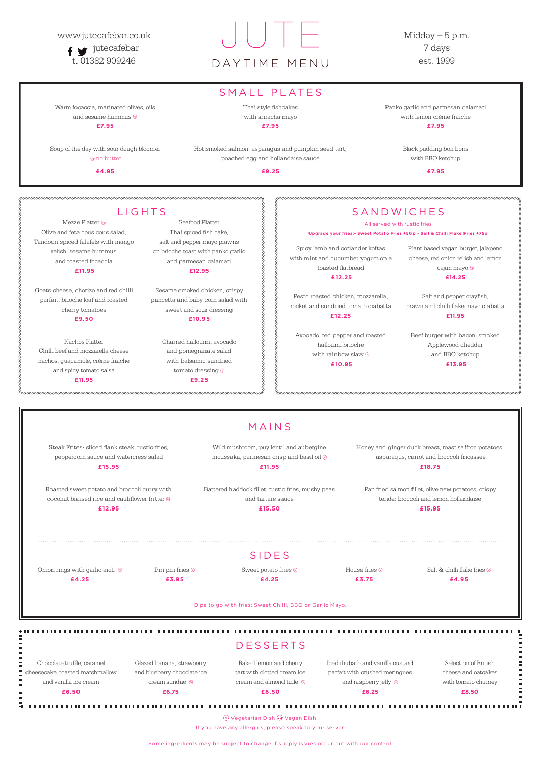#### www.jutecafebar.co.uk

 $f \rightarrow$ jutecafebar

Midday  $-5$  p.m. 7 days est. 1999

# t. 01382 909246 DAYTIME MENU

Soup of the day with sour dough bloomer **O** no butter

## SMALL PLATES

Warm focaccia, marinated olives, oils and sesame hummus **£7.95**

**£4.95**

Thai style fishcakes with sriracha mayo

**£7.95**

Hot smoked salmon, asparagus and pumpkin seed tart, poached egg and hollandaise sauce

**£9.25**

q

Panko garlic and parmesan calamari with lemon crème fraiche **£7.95**

> Black pudding bon bons with BBQ ketchup

> > **£7.95**

# **SANDWICHES**

www.www.www.www.www.www.www.ww

Onion rings with garlic aioli  $\,\circledcirc\,$ **£4.25** 

Piri piri fries  $\odot$ **£3.95**

Sweet potato fries  $\odot$ **£4.25**

House fries  $\odot$ **£3.75**

Salt & chilli flake fries  $\odot$ 

Wild mushroom, puy lentil and aubergine moussaka, parmesan crisp and basil oil  $\circledcirc$ 

|                                                               |                                                          | <b>DESSERTS</b>                                       |                                                                    |                                             |
|---------------------------------------------------------------|----------------------------------------------------------|-------------------------------------------------------|--------------------------------------------------------------------|---------------------------------------------|
| Chocolate truffle, caramel<br>cheesecake, toasted marshmallow | Glazed banana, strawberry<br>and blueberry chocolate ice | Baked lemon and cherry<br>tart with clotted cream ice | Iced rhubarb and vanilla custard<br>parfait with crushed meringues | Selection of British<br>cheese and oatcakes |
| and vanilla ice cream                                         | cream sundae $\circledcirc$                              | cream and almond tuile $\circledcirc$                 | and raspberry jelly $\circledcirc$                                 | with tomato chutney                         |
| £6.50                                                         | £6.75                                                    | £6.50                                                 | £6.25                                                              | £8.50                                       |
|                                                               |                                                          |                                                       |                                                                    |                                             |

Dips to go with fries: Sweet Chilli, BBQ or Garlic Mayo.

# SIDES

Mezze Platter <sup>®</sup> Olive and feta cous cous salad, Tandoori spiced falafels with mango relish, sesame hummus and toasted focaccia **£11.95** 

**£4.95**

Vegetarian Dish Vegan Dish.

If you have any allergies, please speak to your server.

# MAINS

Steak Frites- sliced flank steak, rustic fries, peppercorn sauce and watercress salad **£15.95**

Roasted sweet potato and broccoli curry with coconut braised rice and cauliflower fritter **£12.95**

**£11.95**

Battered haddock fillet, rustic fries, mushy peas and tartare sauce **£15.50**

Honey and ginger duck breast, roast saffron potatoes, asparagus, carrot and broccoli fricassee **£18.75**

Pan fried salmon fillet, olive new potatoes, crispy tender broccoli and lemon hollandaise

#### **£15.95**

Some ingredients may be subject to change if supply issues occur out with our control.

## LIGHTS

Goats cheese, chorizo and red chilli parfait, brioche loaf and roasted cherry tomatoes **£9.50**

Nachos Platter Chilli beef and mozzarella cheese nachos, guacamole, crème fraiche and spicy tomato salsa **£11.95**

Seafood Platter Thai spiced fish cake, salt and pepper mayo prawns on brioche toast with panko garlic and parmesan calamari **£12.95**

Sesame smoked chicken, crispy pancetta and baby corn salad with sweet and sour dressing **£10.95**

> Charred halloumi, avocado and pomegranate salad with balsamic sundried tomato dressing  $\circledcirc$ **£9.25**

#### All served with rustic fries

**Upgrade your fries:- Sweet Potato Fries +50p • Salt & Chilli Flake Fries +75p**

Spicy lamb and coriander koftas with mint and cucumber yogurt on a toasted flatbread

**£12.25**

Pesto roasted chicken, mozzarella, rocket and sundried tomato ciabatta **£12.25** 

Avocado, red pepper and roasted halloumi brioche with rainbow slaw  $\odot$ **£10.95**

Plant based vegan burger, jalapeno cheese, red onion relish and lemon cajun mayo **£14.25**

Salt and pepper crayfish,

prawn and chilli flake mayo ciabatta **£11.95**

Beef burger with bacon, smoked Applewood cheddar and BBQ ketchup **£13.95**